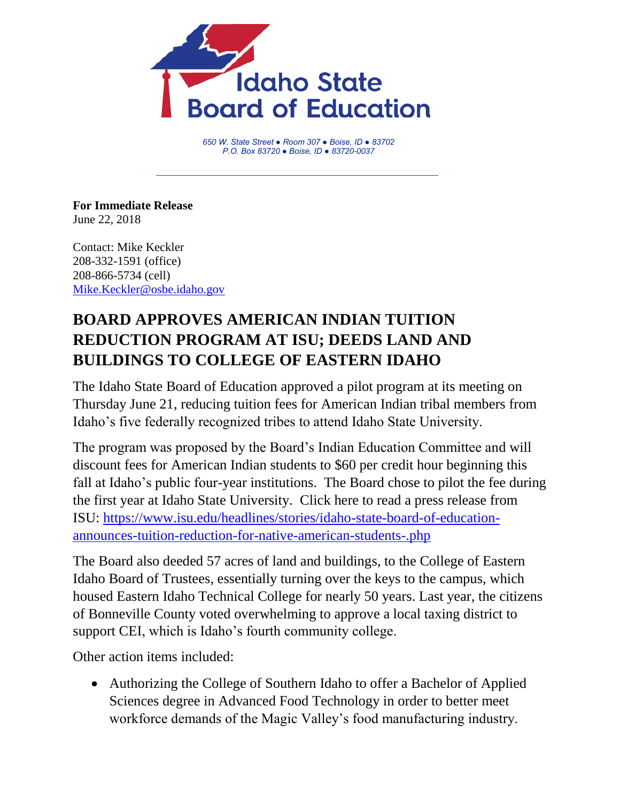

*650 W. State Street ● Room 307 ● Boise, ID ● 83702 P.O. Box 83720 ● Boise, ID ● 83720-0037*

**For Immediate Release** June 22, 2018

Contact: Mike Keckler 208-332-1591 (office) 208-866-5734 (cell) [Mike.Keckler@osbe.idaho.gov](mailto:Mike.Keckler@osbe.idaho.gov)

## **BOARD APPROVES AMERICAN INDIAN TUITION REDUCTION PROGRAM AT ISU; DEEDS LAND AND BUILDINGS TO COLLEGE OF EASTERN IDAHO**

The Idaho State Board of Education approved a pilot program at its meeting on Thursday June 21, reducing tuition fees for American Indian tribal members from Idaho's five federally recognized tribes to attend Idaho State University.

The program was proposed by the Board's Indian Education Committee and will discount fees for American Indian students to \$60 per credit hour beginning this fall at Idaho's public four-year institutions. The Board chose to pilot the fee during the first year at Idaho State University. Click here to read a press release from ISU: [https://www.isu.edu/headlines/stories/idaho-state-board-of-education](https://www.isu.edu/headlines/stories/idaho-state-board-of-education-announces-tuition-reduction-for-native-american-students-.php)[announces-tuition-reduction-for-native-american-students-.php](https://www.isu.edu/headlines/stories/idaho-state-board-of-education-announces-tuition-reduction-for-native-american-students-.php)

The Board also deeded 57 acres of land and buildings, to the College of Eastern Idaho Board of Trustees, essentially turning over the keys to the campus, which housed Eastern Idaho Technical College for nearly 50 years. Last year, the citizens of Bonneville County voted overwhelming to approve a local taxing district to support CEI, which is Idaho's fourth community college.

Other action items included:

 Authorizing the College of Southern Idaho to offer a Bachelor of Applied Sciences degree in Advanced Food Technology in order to better meet workforce demands of the Magic Valley's food manufacturing industry.